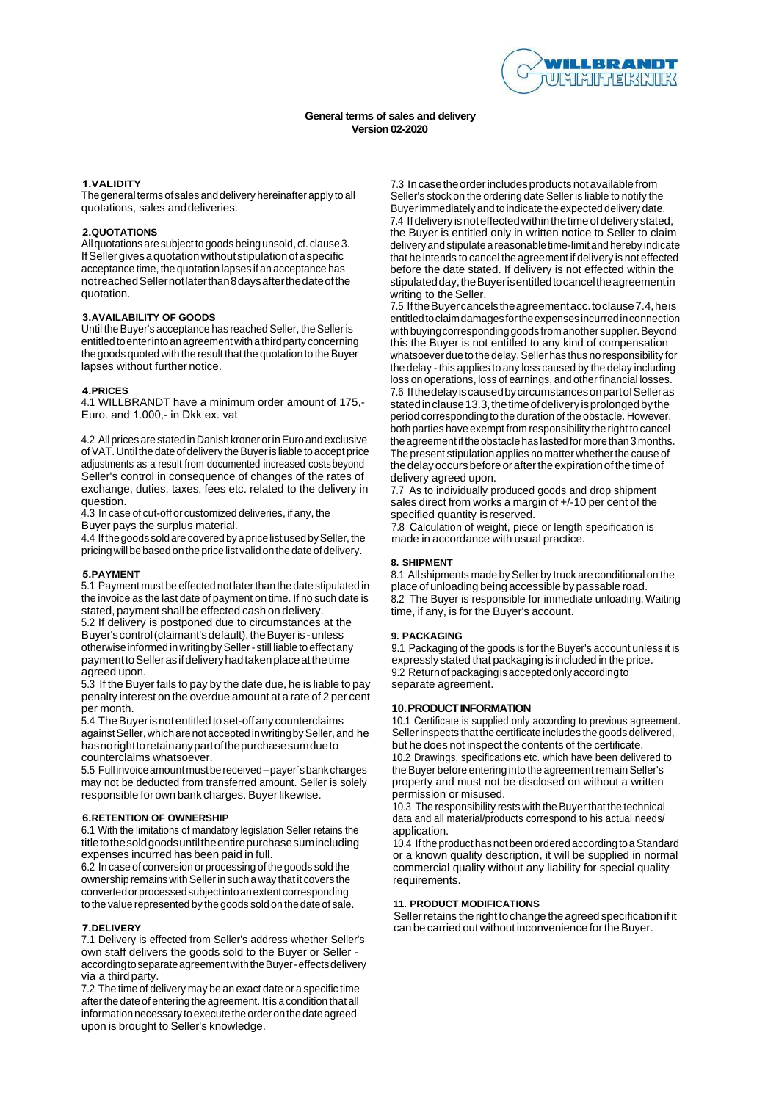

## **General terms of sales and delivery Version 02-2020**

# **1.VALIDITY**

The general terms of sales and delivery hereinafter apply to all quotations, sales and deliveries.

# **2.QUOTATIONS**

All quotations are subject togoods being unsold, cf. clause 3. If Seller gives a quotation without stipulation of a specific acceptance time, the quotation lapses if an acceptance has not reached Seller not later than 8 days after the date ofthe quotation.

# **3.AVAILABILITY OF GOODS**

Until the Buyer's acceptance has reached Seller, the Seller is entitled toenter into anagreement with a third party concerning the goods quoted with the result that the quotation to the Buyer lapses without further notice.

### **4.PRICES**

4.1 WILLBRANDT have a minimum order amount of 175,- Euro. and 1.000,- in Dkk ex. vat

4.2 All prices are stated in Danish kroner orinEuro and exclusive ofVAT. Until the date ofdelivery the Buyer is liable toaccept price adjustments as a result from documented increased costs beyond Seller's control in consequence of changes of the rates of exchange, duties, taxes, fees etc. related to the delivery in question.

4.3 In case of cut-off or customized deliveries, if any, the Buyer pays the surplus material.

4.4 If the goods sold are covered by a price list used by Seller, the pricing will be based on the price list valid on the date of delivery.

### **5.PAYMENT**

5.1 Payment must be effected not later than the date stipulated in the invoice as the last date of payment on time. If no such date is stated, payment shall be effected cash on delivery.

5.2 If delivery is postponed due to circumstances at the Buyer's control (claimant's default), the Buyer is- unless otherwise informed in writing by Seller - still liable to effect any payment to Seller as if delivery had taken place at the time agreed upon.

5.3 If the Buyer fails to pay by the date due, he is liable to pay penalty interest on the overdue amount at a rate of 2 per cent per month.

5.4 The Buyer isnot entitled toset-off any counterclaims against Seller, which are not accepted in writing by Seller, and he has noright toretain any part ofthe purchase sumdueto counterclaims whatsoever.

5.5 Full invoice amount must bereceived –payer`s bank charges may not be deducted from transferred amount. Seller is solely responsible for own bank charges. Buyer likewise.

### **6.RETENTION OF OWNERSHIP**

6.1 With the limitations of mandatory legislation Seller retains the title tothe sold goods until the entire purchase sum including expenses incurred has been paid in full.

6.2 In case of conversion or processing of the goods sold the ownership remains with Seller insuch a way that it covers the converted orprocessed subject into anextent corresponding tothe value represented by the goods sold on the date of sale.

### **7.DELIVERY**

7.1 Delivery is effected from Seller's address whether Seller's own staff delivers the goods sold to the Buyer or Seller according toseparate agreement with the Buyer - effects delivery via a third party.

7.2 The time of delivery may be an exact date or a specific time after the date of entering the agreement. It is a condition that all information necessary toexecute the order onthe date agreed upon is brought to Seller's knowledge.

7.3 Incasetheorderincludesproducts notavailablefrom Seller's stock on the ordering date Seller is liable to notify the Buyer immediately and to indicate the expected delivery date. 7.4 Ifdelivery isnoteffectedwithinthetimeofdelivery stated, the Buyer is entitled only in written notice to Seller to claim delivery and stipulate a reasonable time-limit and hereby indicate that he intends to cancel the agreement if delivery is not effected before the date stated. If delivery is not effected within the stipulated day, the Buyer is entitled to cancel the agreement in writing to the Seller.

7.5 IftheBuyercancelstheagreementacc.toclause7.4,heis entitledtoclaimdamagesfortheexpenses incurredinconnection with buying corresponding goods from another supplier. Beyond this the Buyer is not entitled to any kind of compensation whatsoever due to the delay. Seller has thus no responsibility for the delay - this applies to any loss caused by the delay including loss on operations, loss of earnings, and other financial losses. 7.6 IfthedelayiscausedbycircumstancesonpartofSelleras stated in clause 13.3, the time of delivery is prolonged by the period corresponding to the duration of the obstacle. However, both parties have exempt from responsibility the right to cancel the agreement if the obstacle has lasted for more than 3 months. The present stipulation applies no matter whether the cause of the delay occurs before or after the expiration of the time of

delivery agreed upon. 7.7 As to individually produced goods and drop shipment sales direct from works a margin of +/-10 per cent of the specified quantity is reserved.

7.8 Calculation of weight, piece or length specification is made in accordance with usual practice.

### **8. SHIPMENT**

8.1 All shipments made by Seller by truck are conditional on the place of unloading beingaccessible by passable road. 8.2 The Buyer is responsible for immediate unloading. Waiting time, if any, is for the Buyer's account.

# **9. PACKAGING**

9.1 Packaging of the goods is for the Buyer's account unless it is expressly stated that packaging is included in the price. 9.2 Returnofpackagingisacceptedonlyaccordingto separate agreement.

## **10.PRODUCTINFORMATION**

10.1 Certificate is supplied only according to previous agreement. Sellerinspects that the certificate includes the goods delivered, but he does not inspect the contents of the certificate.

10.2 Drawings, specifications etc. which have been delivered to the Buyer before entering into the agreement remain Seller's property and must not be disclosed on without a written permission or misused.

10.3 The responsibility rests with the Buyer that the technical data and all material/products correspond to his actual needs/ application.

10.4 If the product has not been ordered according to a Standard or a known quality description, it will be supplied in normal commercial quality without any liability for special quality requirements.

## **11. PRODUCT MODIFICATIONS**

Seller retains the right to change the agreed specification if it can be carried out without inconvenience for the Buyer.